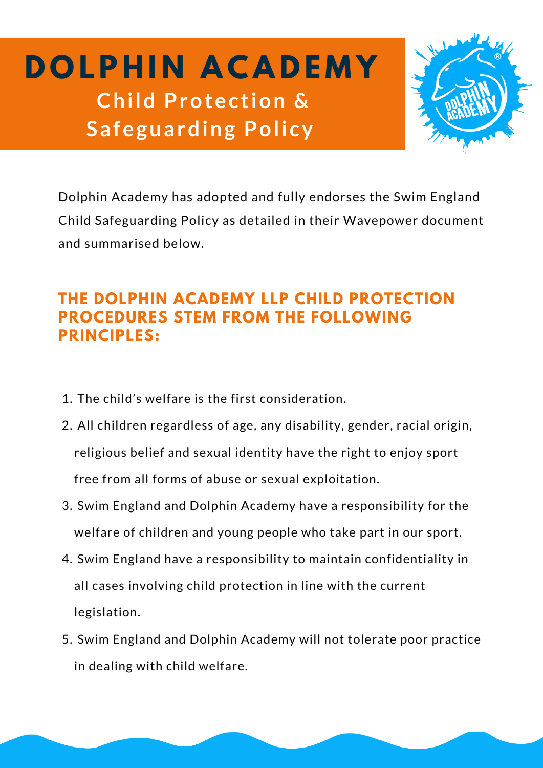**D O LP H I N A C A D E M Y Child Protection & Safeguarding Policy**



Dolphin Academy has adopted and fully endorses the Swim England Child Safeguarding Policy as detailed in their Wavepower document and summarised below.

## **THE DOLPHIN ACADEMY LLP CHILD PROTECTION PROCEDURES STEM FROM THE FOLLOWING PRINCIPLES:**

- 1. The child's welfare is the first consideration.
- All children regardless of age, any disability, gender, racial origin, 2. religious belief and sexual identity have the right to enjoy sport free from all forms of abuse or sexual exploitation.
- 3. Swim England and Dolphin Academy have a responsibility for the welfare of children and young people who take part in our sport.
- 4. Swim England have a responsibility to maintain confidentiality in all cases involving child protection in line with the current legislation.
- 5. Swim England and Dolphin Academy will not tolerate poor practice in dealing with child welfare.